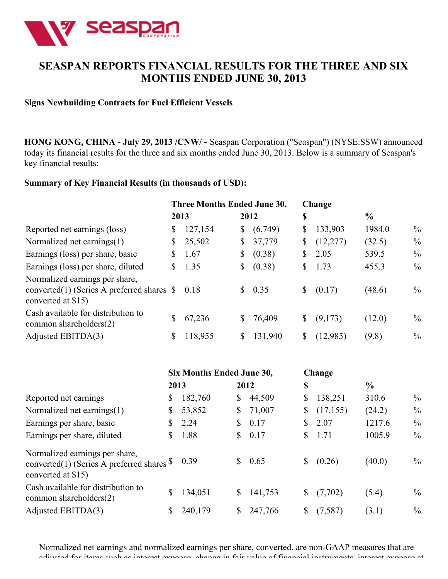

## **SEASPAN REPORTS FINANCIAL RESULTS FOR THE THREE AND SIX MONTHS ENDED JUNE 30, 2013**

#### **Signs Newbuilding Contracts for Fuel Efficient Vessels**

**HONG KONG, CHINA - July 29, 2013 /CNW/ -** Seaspan Corporation ("Seaspan") (NYSE:SSW) announced today its financial results for the three and six months ended June 30, 2013. Below is a summary of Seaspan's key financial results:

#### **Summary of Key Financial Results (in thousands of USD):**

| Three Months Ended June 30, |                                             |    |         |      |           |               |               |
|-----------------------------|---------------------------------------------|----|---------|------|-----------|---------------|---------------|
| 2013                        |                                             |    |         | \$   |           | $\frac{6}{9}$ |               |
| S.                          | 127,154                                     | \$ | (6,749) | \$   | 133,903   | 1984.0        | $\%$          |
| \$                          | 25,502                                      | \$ | 37,779  | \$   | (12, 277) | (32.5)        | $\%$          |
| S                           | 1.67                                        | \$ | (0.38)  | \$   | 2.05      | 539.5         | $\frac{0}{0}$ |
| S.                          | 1.35                                        | \$ | (0.38)  | \$   | 1.73      | 455.3         | $\%$          |
|                             | 0.18                                        | S. | 0.35    | \$   | (0.17)    | (48.6)        | $\%$          |
| \$                          | 67,236                                      | \$ | 76,409  | \$   | (9,173)   | (12.0)        | $\frac{0}{0}$ |
| S                           | 118,955                                     | \$ | 131,940 | \$   | (12,985)  | (9.8)         | $\frac{0}{0}$ |
|                             | converted(1) (Series A preferred shares $\$ |    |         | 2012 |           | Change        |               |

|                                                                                                                    |   | <b>Six Months Ended June 30,</b> |                |         | Change          |               |               |
|--------------------------------------------------------------------------------------------------------------------|---|----------------------------------|----------------|---------|-----------------|---------------|---------------|
|                                                                                                                    |   | 2013                             |                | 2012    | \$              | $\frac{6}{6}$ |               |
| Reported net earnings                                                                                              | S | 182,760                          | \$             | 44,509  | \$<br>138,251   | 310.6         | $\%$          |
| Normalized net earnings(1)                                                                                         |   | 53,852                           | $\mathbb{S}^-$ | 71,007  | \$<br>(17, 155) | (24.2)        | $\%$          |
| Earnings per share, basic                                                                                          |   | 2.24                             | \$             | 0.17    | \$<br>2.07      | 1217.6        | $\frac{0}{0}$ |
| Earnings per share, diluted                                                                                        |   | 1.88                             | $\mathbb{S}^-$ | 0.17    | \$<br>1.71      | 1005.9        | $\frac{0}{0}$ |
| Normalized earnings per share,<br>converted(1) (Series A preferred shares $\frac{$}{9}$ 0.39<br>converted at \$15) |   |                                  | $\mathbb{S}^-$ | 0.65    | \$<br>(0.26)    | (40.0)        | $\frac{0}{0}$ |
| Cash available for distribution to<br>common shareholders $(2)$                                                    |   | 134,051                          | \$             | 141,753 | \$<br>(7,702)   | (5.4)         | $\%$          |
| Adjusted EBITDA(3)                                                                                                 |   | 240,179                          | S              | 247,766 | \$<br>(7,587)   | (3.1)         | $\frac{0}{0}$ |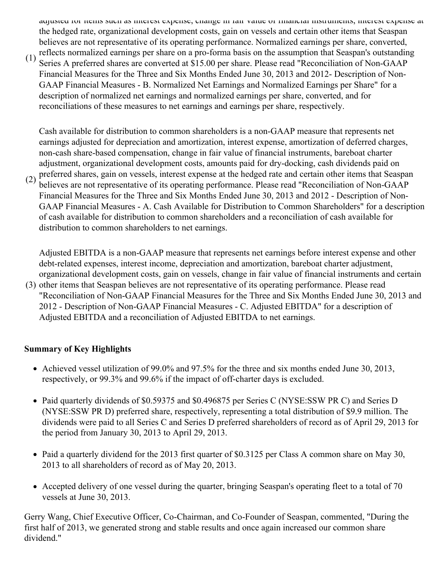adjusted for items such as interest expense, change in fair value of financial instruments, interest expense at the hedged rate, organizational development costs, gain on vessels and certain other items that Seaspan believes are not representative of its operating performance. Normalized earnings per share, converted, reflects normalized earnings per share on a pro-forma basis on the assumption that Seaspan's outstanding

(1) Series A preferred shares are converted at \$15.00 per share. Please read "Reconciliation of Non-GAAP Financial Measures for the Three and Six Months Ended June 30, 2013 and 2012- Description of Non-GAAP Financial Measures - B. Normalized Net Earnings and Normalized Earnings per Share" for a description of normalized net earnings and normalized earnings per share, converted, and for reconciliations of these measures to net earnings and earnings per share, respectively.

Cash available for distribution to common shareholders is a non-GAAP measure that represents net earnings adjusted for depreciation and amortization, interest expense, amortization of deferred charges, non-cash share-based compensation, change in fair value of financial instruments, bareboat charter adjustment, organizational development costs, amounts paid for dry-docking, cash dividends paid on preferred shares, gain on vessels, interest expense at the hedged rate and certain other items that Seaspan

(2) believes are not representative of its operating performance. Please read "Reconciliation of Non-GAAP Financial Measures for the Three and Six Months Ended June 30, 2013 and 2012 - Description of Non-GAAP Financial Measures - A. Cash Available for Distribution to Common Shareholders" for a description of cash available for distribution to common shareholders and a reconciliation of cash available for distribution to common shareholders to net earnings.

Adjusted EBITDA is a non-GAAP measure that represents net earnings before interest expense and other debt-related expenses, interest income, depreciation and amortization, bareboat charter adjustment, organizational development costs, gain on vessels, change in fair value of financial instruments and certain

(3) other items that Seaspan believes are not representative of its operating performance. Please read "Reconciliation of Non-GAAP Financial Measures for the Three and Six Months Ended June 30, 2013 and 2012 - Description of Non-GAAP Financial Measures - C. Adjusted EBITDA" for a description of Adjusted EBITDA and a reconciliation of Adjusted EBITDA to net earnings.

## **Summary of Key Highlights**

- Achieved vessel utilization of 99.0% and 97.5% for the three and six months ended June 30, 2013, respectively, or 99.3% and 99.6% if the impact of off-charter days is excluded.
- Paid quarterly dividends of \$0.59375 and \$0.496875 per Series C (NYSE:SSW PR C) and Series D (NYSE:SSW PR D) preferred share, respectively, representing a total distribution of \$9.9 million. The dividends were paid to all Series C and Series D preferred shareholders of record as of April 29, 2013 for the period from January 30, 2013 to April 29, 2013.
- Paid a quarterly dividend for the 2013 first quarter of \$0.3125 per Class A common share on May 30, 2013 to all shareholders of record as of May 20, 2013.
- Accepted delivery of one vessel during the quarter, bringing Seaspan's operating fleet to a total of 70 vessels at June 30, 2013.

Gerry Wang, Chief Executive Officer, Co-Chairman, and Co-Founder of Seaspan, commented, "During the first half of 2013, we generated strong and stable results and once again increased our common share dividend."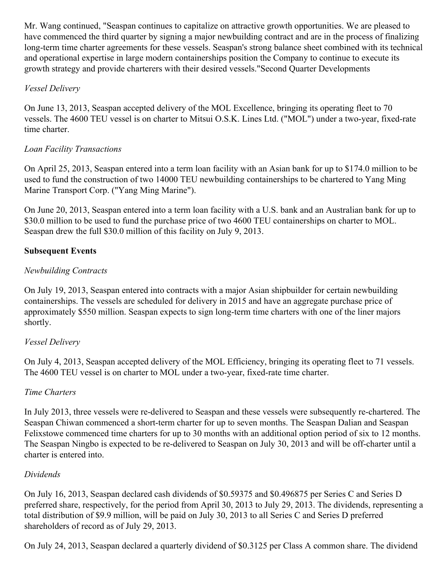Mr. Wang continued, "Seaspan continues to capitalize on attractive growth opportunities. We are pleased to have commenced the third quarter by signing a major newbuilding contract and are in the process of finalizing long-term time charter agreements for these vessels. Seaspan's strong balance sheet combined with its technical and operational expertise in large modern containerships position the Company to continue to execute its growth strategy and provide charterers with their desired vessels."Second Quarter Developments

## *Vessel Delivery*

On June 13, 2013, Seaspan accepted delivery of the MOL Excellence, bringing its operating fleet to 70 vessels. The 4600 TEU vessel is on charter to Mitsui O.S.K. Lines Ltd. ("MOL") under a two-year, fixed-rate time charter.

## *Loan Facility Transactions*

On April 25, 2013, Seaspan entered into a term loan facility with an Asian bank for up to \$174.0 million to be used to fund the construction of two 14000 TEU newbuilding containerships to be chartered to Yang Ming Marine Transport Corp. ("Yang Ming Marine").

On June 20, 2013, Seaspan entered into a term loan facility with a U.S. bank and an Australian bank for up to \$30.0 million to be used to fund the purchase price of two 4600 TEU containerships on charter to MOL. Seaspan drew the full \$30.0 million of this facility on July 9, 2013.

## **Subsequent Events**

## *Newbuilding Contracts*

On July 19, 2013, Seaspan entered into contracts with a major Asian shipbuilder for certain newbuilding containerships. The vessels are scheduled for delivery in 2015 and have an aggregate purchase price of approximately \$550 million. Seaspan expects to sign long-term time charters with one of the liner majors shortly.

## *Vessel Delivery*

On July 4, 2013, Seaspan accepted delivery of the MOL Efficiency, bringing its operating fleet to 71 vessels. The 4600 TEU vessel is on charter to MOL under a two-year, fixed-rate time charter.

## *Time Charters*

In July 2013, three vessels were re-delivered to Seaspan and these vessels were subsequently re-chartered. The Seaspan Chiwan commenced a short-term charter for up to seven months. The Seaspan Dalian and Seaspan Felixstowe commenced time charters for up to 30 months with an additional option period of six to 12 months. The Seaspan Ningbo is expected to be re-delivered to Seaspan on July 30, 2013 and will be off-charter until a charter is entered into.

#### *Dividends*

On July 16, 2013, Seaspan declared cash dividends of \$0.59375 and \$0.496875 per Series C and Series D preferred share, respectively, for the period from April 30, 2013 to July 29, 2013. The dividends, representing a total distribution of \$9.9 million, will be paid on July 30, 2013 to all Series C and Series D preferred shareholders of record as of July 29, 2013.

On July 24, 2013, Seaspan declared a quarterly dividend of \$0.3125 per Class A common share. The dividend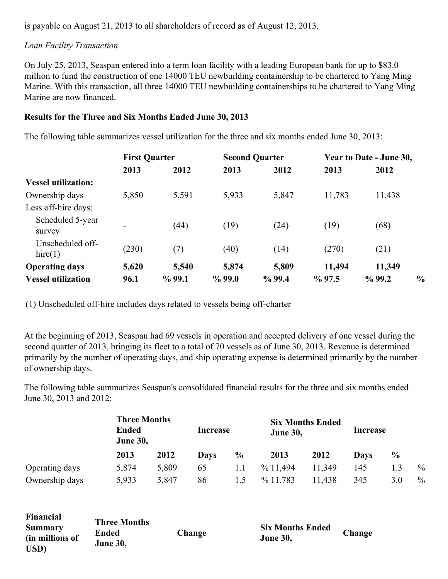is payable on August 21, 2013 to all shareholders of record as of August 12, 2013.

#### *Loan Facility Transaction*

On July 25, 2013, Seaspan entered into a term loan facility with a leading European bank for up to \$83.0 million to fund the construction of one 14000 TEU newbuilding containership to be chartered to Yang Ming Marine. With this transaction, all three 14000 TEU newbuilding containerships to be chartered to Yang Ming Marine are now financed.

#### **Results for the Three and Six Months Ended June 30, 2013**

The following table summarizes vessel utilization for the three and six months ended June 30, 2013:

|                            |       | <b>First Quarter</b> |           | <b>Second Quarter</b> | Year to Date - June 30, |           |               |
|----------------------------|-------|----------------------|-----------|-----------------------|-------------------------|-----------|---------------|
|                            | 2013  | 2012                 | 2013      | 2012                  | 2013                    | 2012      |               |
| <b>Vessel utilization:</b> |       |                      |           |                       |                         |           |               |
| Ownership days             | 5,850 | 5,591                | 5,933     | 5,847                 | 11,783                  | 11,438    |               |
| Less off-hire days:        |       |                      |           |                       |                         |           |               |
| Scheduled 5-year           |       | (44)                 | (19)      | (24)                  | (19)                    | (68)      |               |
| survey                     |       |                      |           |                       |                         |           |               |
| Unscheduled off-           | (230) | (7)                  | (40)      | (14)                  | (270)                   | (21)      |               |
| hire(1)                    |       |                      |           |                       |                         |           |               |
| <b>Operating days</b>      | 5,620 | 5,540                | 5,874     | 5,809                 | 11,494                  | 11,349    |               |
| <b>Vessel utilization</b>  | 96.1  | %99.1                | $\%$ 99.0 | $\%$ 99.4             | $\%$ 97.5               | $\%$ 99.2 | $\frac{0}{0}$ |

(1) Unscheduled off-hire includes days related to vessels being off-charter

At the beginning of 2013, Seaspan had 69 vessels in operation and accepted delivery of one vessel during the second quarter of 2013, bringing its fleet to a total of 70 vessels as of June 30, 2013. Revenue is determined primarily by the number of operating days, and ship operating expense is determined primarily by the number of ownership days.

The following table summarizes Seaspan's consolidated financial results for the three and six months ended June 30, 2013 and 2012:

|                | <b>Ended</b> | <b>Three Months</b><br><b>June 30,</b> |             | Increase       | <b>June 30,</b> | <b>Six Months Ended</b> | Increase |               |      |
|----------------|--------------|----------------------------------------|-------------|----------------|-----------------|-------------------------|----------|---------------|------|
|                | 2013         | 2012                                   | <b>Days</b> | $\frac{6}{10}$ | 2013            | 2012                    | Davs     | $\frac{0}{0}$ |      |
| Operating days | 5,874        | 5,809                                  | 65          | 1.1            | $\%$ 11,494     | 11,349                  | 145      |               | $\%$ |
| Ownership days | 5,933        | 5,847                                  | 86          | 1.5            | % 11,783        | 11,438                  | 345      | 3.0           | $\%$ |

| Financial<br><b>Summary</b><br>(in millions of<br>USD) | <b>Three Months</b><br>Ended<br><b>June 30,</b> | Change | <b>Six Months Ended</b><br><b>June 30,</b> | Change |  |
|--------------------------------------------------------|-------------------------------------------------|--------|--------------------------------------------|--------|--|
|--------------------------------------------------------|-------------------------------------------------|--------|--------------------------------------------|--------|--|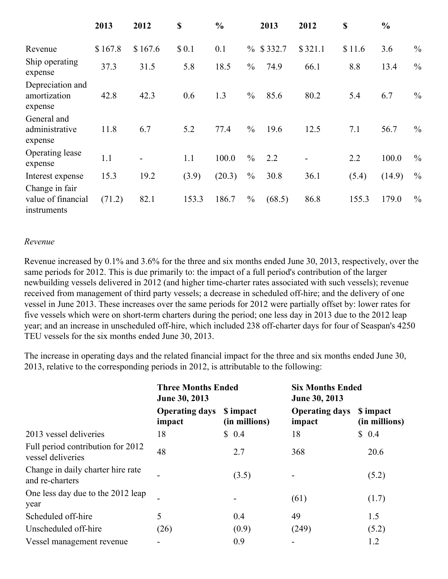|                                                     | 2013    | 2012    | \$    | $\frac{0}{0}$ |               | 2013         | 2012    | \$     | $\frac{6}{6}$ |               |
|-----------------------------------------------------|---------|---------|-------|---------------|---------------|--------------|---------|--------|---------------|---------------|
| Revenue                                             | \$167.8 | \$167.6 | \$0.1 | 0.1           |               | $\%$ \$332.7 | \$321.1 | \$11.6 | 3.6           | $\frac{0}{0}$ |
| Ship operating<br>expense                           | 37.3    | 31.5    | 5.8   | 18.5          | $\frac{0}{0}$ | 74.9         | 66.1    | 8.8    | 13.4          | $\frac{0}{0}$ |
| Depreciation and<br>amortization<br>expense         | 42.8    | 42.3    | 0.6   | 1.3           | $\frac{0}{0}$ | 85.6         | 80.2    | 5.4    | 6.7           | $\frac{0}{0}$ |
| General and<br>administrative<br>expense            | 11.8    | 6.7     | 5.2   | 77.4          | $\frac{0}{0}$ | 19.6         | 12.5    | 7.1    | 56.7          | $\frac{0}{0}$ |
| Operating lease<br>expense                          | 1.1     |         | 1.1   | 100.0         | $\frac{0}{0}$ | 2.2          | -       | 2.2    | 100.0         | $\frac{0}{0}$ |
| Interest expense                                    | 15.3    | 19.2    | (3.9) | (20.3)        | $\frac{0}{0}$ | 30.8         | 36.1    | (5.4)  | (14.9)        | $\frac{0}{0}$ |
| Change in fair<br>value of financial<br>instruments | (71.2)  | 82.1    | 153.3 | 186.7         | $\frac{0}{0}$ | (68.5)       | 86.8    | 155.3  | 179.0         | $\frac{0}{0}$ |

#### *Revenue*

Revenue increased by 0.1% and 3.6% for the three and six months ended June 30, 2013, respectively, over the same periods for 2012. This is due primarily to: the impact of a full period's contribution of the larger newbuilding vessels delivered in 2012 (and higher time-charter rates associated with such vessels); revenue received from management of third party vessels; a decrease in scheduled off-hire; and the delivery of one vessel in June 2013. These increases over the same periods for 2012 were partially offset by: lower rates for five vessels which were on short-term charters during the period; one less day in 2013 due to the 2012 leap year; and an increase in unscheduled off-hire, which included 238 off-charter days for four of Seaspan's 4250 TEU vessels for the six months ended June 30, 2013.

The increase in operating days and the related financial impact for the three and six months ended June 30, 2013, relative to the corresponding periods in 2012, is attributable to the following:

|                                                        | <b>Three Months Ended</b><br>June 30, 2013 |                            | <b>Six Months Ended</b><br>June 30, 2013 |                            |  |  |
|--------------------------------------------------------|--------------------------------------------|----------------------------|------------------------------------------|----------------------------|--|--|
|                                                        | <b>Operating days</b><br>impact            | \$ impact<br>(in millions) | <b>Operating days</b><br>impact          | \$ impact<br>(in millions) |  |  |
| 2013 vessel deliveries                                 | 18                                         | \$0.4                      | 18                                       | \$0.4                      |  |  |
| Full period contribution for 2012<br>vessel deliveries | 48                                         | 2.7                        | 368                                      | 20.6                       |  |  |
| Change in daily charter hire rate<br>and re-charters   |                                            | (3.5)                      |                                          | (5.2)                      |  |  |
| One less day due to the 2012 leap<br>year              |                                            |                            | (61)                                     | (1.7)                      |  |  |
| Scheduled off-hire                                     | 5                                          | 0.4                        | 49                                       | 1.5                        |  |  |
| Unscheduled off-hire                                   | (26)                                       | (0.9)                      | (249)                                    | (5.2)                      |  |  |
| Vessel management revenue                              |                                            | 0.9                        |                                          | 1.2                        |  |  |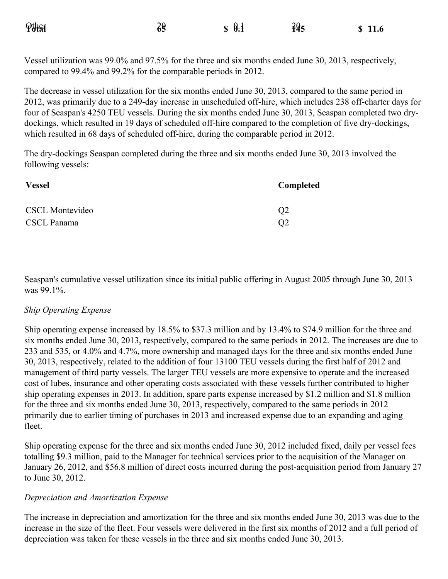| <b>Pthan</b> | 39 | $\mathbf{\$} \ \mathbf{\theta} \cdot \mathbf{\mathbf{i}}$ | 395 | \$11.6 |
|--------------|----|-----------------------------------------------------------|-----|--------|
|              |    |                                                           |     |        |

Vessel utilization was 99.0% and 97.5% for the three and six months ended June 30, 2013, respectively, compared to 99.4% and 99.2% for the comparable periods in 2012.

The decrease in vessel utilization for the six months ended June 30, 2013, compared to the same period in 2012, was primarily due to a 249-day increase in unscheduled off-hire, which includes 238 off-charter days for four of Seaspan's 4250 TEU vessels. During the six months ended June 30, 2013, Seaspan completed two drydockings, which resulted in 19 days of scheduled off-hire compared to the completion of five dry-dockings, which resulted in 68 days of scheduled off-hire, during the comparable period in 2012.

The dry-dockings Seaspan completed during the three and six months ended June 30, 2013 involved the following vessels:

| <b>Vessel</b>          | Completed      |
|------------------------|----------------|
| <b>CSCL Montevideo</b> | Q <sub>2</sub> |
| CSCL Panama            | Q <sub>2</sub> |

Seaspan's cumulative vessel utilization since its initial public offering in August 2005 through June 30, 2013 was 99.1%.

#### *Ship Operating Expense*

Ship operating expense increased by 18.5% to \$37.3 million and by 13.4% to \$74.9 million for the three and six months ended June 30, 2013, respectively, compared to the same periods in 2012. The increases are due to 233 and 535, or 4.0% and 4.7%, more ownership and managed days for the three and six months ended June 30, 2013, respectively, related to the addition of four 13100 TEU vessels during the first half of 2012 and management of third party vessels. The larger TEU vessels are more expensive to operate and the increased cost of lubes, insurance and other operating costs associated with these vessels further contributed to higher ship operating expenses in 2013. In addition, spare parts expense increased by \$1.2 million and \$1.8 million for the three and six months ended June 30, 2013, respectively, compared to the same periods in 2012 primarily due to earlier timing of purchases in 2013 and increased expense due to an expanding and aging fleet.

Ship operating expense for the three and six months ended June 30, 2012 included fixed, daily per vessel fees totalling \$9.3 million, paid to the Manager for technical services prior to the acquisition of the Manager on January 26, 2012, and \$56.8 million of direct costs incurred during the post-acquisition period from January 27 to June 30, 2012.

#### *Depreciation and Amortization Expense*

The increase in depreciation and amortization for the three and six months ended June 30, 2013 was due to the increase in the size of the fleet. Four vessels were delivered in the first six months of 2012 and a full period of depreciation was taken for these vessels in the three and six months ended June 30, 2013.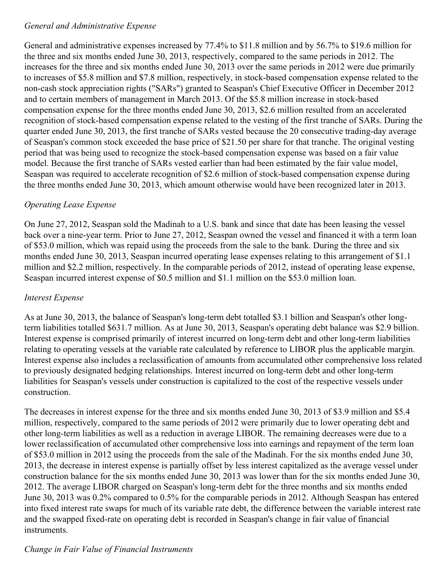#### *General and Administrative Expense*

General and administrative expenses increased by 77.4% to \$11.8 million and by 56.7% to \$19.6 million for the three and six months ended June 30, 2013, respectively, compared to the same periods in 2012. The increases for the three and six months ended June 30, 2013 over the same periods in 2012 were due primarily to increases of \$5.8 million and \$7.8 million, respectively, in stock-based compensation expense related to the non-cash stock appreciation rights ("SARs") granted to Seaspan's Chief Executive Officer in December 2012 and to certain members of management in March 2013. Of the \$5.8 million increase in stock-based compensation expense for the three months ended June 30, 2013, \$2.6 million resulted from an accelerated recognition of stock-based compensation expense related to the vesting of the first tranche of SARs. During the quarter ended June 30, 2013, the first tranche of SARs vested because the 20 consecutive trading-day average of Seaspan's common stock exceeded the base price of \$21.50 per share for that tranche. The original vesting period that was being used to recognize the stock-based compensation expense was based on a fair value model. Because the first tranche of SARs vested earlier than had been estimated by the fair value model, Seaspan was required to accelerate recognition of \$2.6 million of stock-based compensation expense during the three months ended June 30, 2013, which amount otherwise would have been recognized later in 2013.

## *Operating Lease Expense*

On June 27, 2012, Seaspan sold the Madinah to a U.S. bank and since that date has been leasing the vessel back over a nine-year term. Prior to June 27, 2012, Seaspan owned the vessel and financed it with a term loan of \$53.0 million, which was repaid using the proceeds from the sale to the bank. During the three and six months ended June 30, 2013, Seaspan incurred operating lease expenses relating to this arrangement of \$1.1 million and \$2.2 million, respectively. In the comparable periods of 2012, instead of operating lease expense, Seaspan incurred interest expense of \$0.5 million and \$1.1 million on the \$53.0 million loan.

## *Interest Expense*

As at June 30, 2013, the balance of Seaspan's long-term debt totalled \$3.1 billion and Seaspan's other longterm liabilities totalled \$631.7 million. As at June 30, 2013, Seaspan's operating debt balance was \$2.9 billion. Interest expense is comprised primarily of interest incurred on long-term debt and other long-term liabilities relating to operating vessels at the variable rate calculated by reference to LIBOR plus the applicable margin. Interest expense also includes a reclassification of amounts from accumulated other comprehensive loss related to previously designated hedging relationships. Interest incurred on long-term debt and other long-term liabilities for Seaspan's vessels under construction is capitalized to the cost of the respective vessels under construction.

The decreases in interest expense for the three and six months ended June 30, 2013 of \$3.9 million and \$5.4 million, respectively, compared to the same periods of 2012 were primarily due to lower operating debt and other long-term liabilities as well as a reduction in average LIBOR. The remaining decreases were due to a lower reclassification of accumulated other comprehensive loss into earnings and repayment of the term loan of \$53.0 million in 2012 using the proceeds from the sale of the Madinah. For the six months ended June 30, 2013, the decrease in interest expense is partially offset by less interest capitalized as the average vessel under construction balance for the six months ended June 30, 2013 was lower than for the six months ended June 30, 2012. The average LIBOR charged on Seaspan's long-term debt for the three months and six months ended June 30, 2013 was 0.2% compared to 0.5% for the comparable periods in 2012. Although Seaspan has entered into fixed interest rate swaps for much of its variable rate debt, the difference between the variable interest rate and the swapped fixed-rate on operating debt is recorded in Seaspan's change in fair value of financial instruments.

## *Change in Fair Value of Financial Instruments*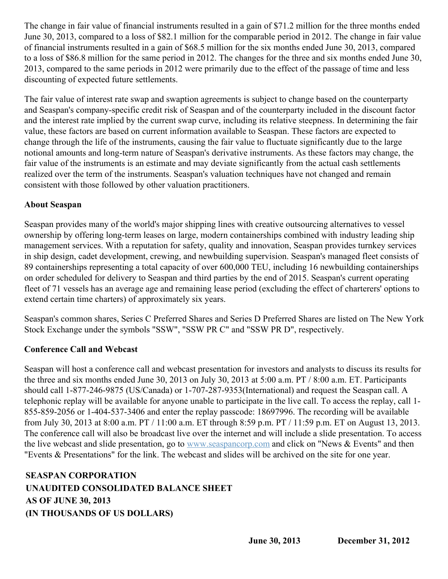The change in fair value of financial instruments resulted in a gain of \$71.2 million for the three months ended June 30, 2013, compared to a loss of \$82.1 million for the comparable period in 2012. The change in fair value of financial instruments resulted in a gain of \$68.5 million for the six months ended June 30, 2013, compared to a loss of \$86.8 million for the same period in 2012. The changes for the three and six months ended June 30, 2013, compared to the same periods in 2012 were primarily due to the effect of the passage of time and less discounting of expected future settlements.

The fair value of interest rate swap and swaption agreements is subject to change based on the counterparty and Seaspan's company-specific credit risk of Seaspan and of the counterparty included in the discount factor and the interest rate implied by the current swap curve, including its relative steepness. In determining the fair value, these factors are based on current information available to Seaspan. These factors are expected to change through the life of the instruments, causing the fair value to fluctuate significantly due to the large notional amounts and long-term nature of Seaspan's derivative instruments. As these factors may change, the fair value of the instruments is an estimate and may deviate significantly from the actual cash settlements realized over the term of the instruments. Seaspan's valuation techniques have not changed and remain consistent with those followed by other valuation practitioners.

## **About Seaspan**

Seaspan provides many of the world's major shipping lines with creative outsourcing alternatives to vessel ownership by offering long-term leases on large, modern containerships combined with industry leading ship management services. With a reputation for safety, quality and innovation, Seaspan provides turnkey services in ship design, cadet development, crewing, and newbuilding supervision. Seaspan's managed fleet consists of 89 containerships representing a total capacity of over 600,000 TEU, including 16 newbuilding containerships on order scheduled for delivery to Seaspan and third parties by the end of 2015. Seaspan's current operating fleet of 71 vessels has an average age and remaining lease period (excluding the effect of charterers' options to extend certain time charters) of approximately six years.

Seaspan's common shares, Series C Preferred Shares and Series D Preferred Shares are listed on The New York Stock Exchange under the symbols "SSW", "SSW PR C" and "SSW PR D", respectively.

## **Conference Call and Webcast**

Seaspan will host a conference call and webcast presentation for investors and analysts to discuss its results for the three and six months ended June 30, 2013 on July 30, 2013 at 5:00 a.m. PT / 8:00 a.m. ET. Participants should call 1-877-246-9875 (US/Canada) or 1-707-287-9353(International) and request the Seaspan call. A telephonic replay will be available for anyone unable to participate in the live call. To access the replay, call 1- 855-859-2056 or 1-404-537-3406 and enter the replay passcode: 18697996. The recording will be available from July 30, 2013 at 8:00 a.m. PT / 11:00 a.m. ET through 8:59 p.m. PT / 11:59 p.m. ET on August 13, 2013. The conference call will also be broadcast live over the internet and will include a slide presentation. To access the live webcast and slide presentation, go to [www.seaspancorp.com](http://www.seaspancorp.com/) and click on "News & Events" and then "Events & Presentations" for the link. The webcast and slides will be archived on the site for one year.

## **SEASPAN CORPORATION UNAUDITED CONSOLIDATED BALANCE SHEET AS OF JUNE 30, 2013 (IN THOUSANDS OF US DOLLARS)**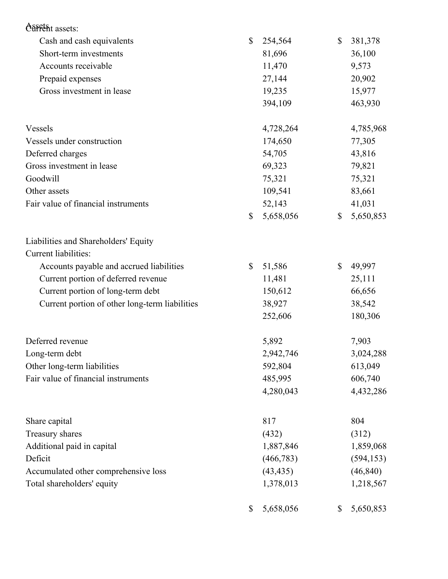| <b>ASSETS</b> assets:                          |                 |                 |
|------------------------------------------------|-----------------|-----------------|
| Cash and cash equivalents                      | \$<br>254,564   | \$<br>381,378   |
| Short-term investments                         | 81,696          | 36,100          |
| Accounts receivable                            | 11,470          | 9,573           |
| Prepaid expenses                               | 27,144          | 20,902          |
| Gross investment in lease                      | 19,235          | 15,977          |
|                                                | 394,109         | 463,930         |
| Vessels                                        | 4,728,264       | 4,785,968       |
| Vessels under construction                     | 174,650         | 77,305          |
| Deferred charges                               | 54,705          | 43,816          |
| Gross investment in lease                      | 69,323          | 79,821          |
| Goodwill                                       | 75,321          | 75,321          |
| Other assets                                   | 109,541         | 83,661          |
| Fair value of financial instruments            | 52,143          | 41,031          |
|                                                | \$<br>5,658,056 | \$<br>5,650,853 |
| Liabilities and Shareholders' Equity           |                 |                 |
| Current liabilities:                           |                 |                 |
| Accounts payable and accrued liabilities       | \$<br>51,586    | \$<br>49,997    |
| Current portion of deferred revenue            | 11,481          | 25,111          |
| Current portion of long-term debt              | 150,612         | 66,656          |
| Current portion of other long-term liabilities | 38,927          | 38,542          |
|                                                | 252,606         | 180,306         |
| Deferred revenue                               | 5,892           | 7,903           |
| Long-term debt                                 | 2,942,746       | 3,024,288       |
| Other long-term liabilities                    | 592,804         | 613,049         |
| Fair value of financial instruments            | 485,995         | 606,740         |
|                                                | 4,280,043       | 4,432,286       |
| Share capital                                  | 817             | 804             |
| Treasury shares                                | (432)           | (312)           |
| Additional paid in capital                     | 1,887,846       | 1,859,068       |
| Deficit                                        | (466, 783)      | (594, 153)      |
| Accumulated other comprehensive loss           | (43, 435)       | (46, 840)       |
| Total shareholders' equity                     | 1,378,013       | 1,218,567       |
|                                                | \$<br>5,658,056 | \$<br>5,650,853 |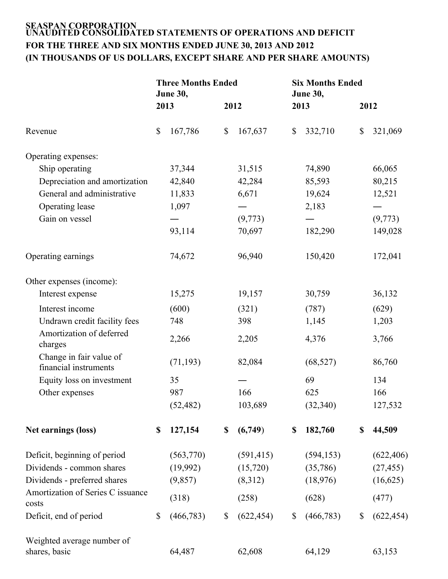#### **SEASPAN CORPORATION UNAUDITED CONSOLIDATED STATEMENTS OF OPERATIONS AND DEFICIT FOR THE THREE AND SIX MONTHS ENDED JUNE 30, 2013 AND 2012 (IN THOUSANDS OF US DOLLARS, EXCEPT SHARE AND PER SHARE AMOUNTS)**

|                                                  |      | <b>Three Months Ended</b><br><b>June 30,</b> |                  | <b>Six Months Ended</b><br><b>June 30,</b> |              |            |
|--------------------------------------------------|------|----------------------------------------------|------------------|--------------------------------------------|--------------|------------|
|                                                  | 2013 |                                              | 2012             | 2013                                       | 2012         |            |
| Revenue                                          | \$   | 167,786                                      | \$<br>167,637    | \$<br>332,710                              | \$           | 321,069    |
| Operating expenses:                              |      |                                              |                  |                                            |              |            |
| Ship operating                                   |      | 37,344                                       | 31,515           | 74,890                                     |              | 66,065     |
| Depreciation and amortization                    |      | 42,840                                       | 42,284           | 85,593                                     |              | 80,215     |
| General and administrative                       |      | 11,833                                       | 6,671            | 19,624                                     |              | 12,521     |
| Operating lease                                  |      | 1,097                                        |                  | 2,183                                      |              |            |
| Gain on vessel                                   |      |                                              | (9,773)          |                                            |              | (9,773)    |
|                                                  |      | 93,114                                       | 70,697           | 182,290                                    |              | 149,028    |
| Operating earnings                               |      | 74,672                                       | 96,940           | 150,420                                    |              | 172,041    |
| Other expenses (income):                         |      |                                              |                  |                                            |              |            |
| Interest expense                                 |      | 15,275                                       | 19,157           | 30,759                                     |              | 36,132     |
| Interest income                                  |      | (600)                                        | (321)            | (787)                                      |              | (629)      |
| Undrawn credit facility fees                     |      | 748                                          | 398              | 1,145                                      |              | 1,203      |
| Amortization of deferred<br>charges              |      | 2,266                                        | 2,205            | 4,376                                      |              | 3,766      |
| Change in fair value of<br>financial instruments |      | (71, 193)                                    | 82,084           | (68, 527)                                  |              | 86,760     |
| Equity loss on investment                        |      | 35                                           |                  | 69                                         |              | 134        |
| Other expenses                                   |      | 987                                          | 166              | 625                                        |              | 166        |
|                                                  |      | (52, 482)                                    | 103,689          | (32, 340)                                  |              | 127,532    |
| Net earnings (loss)                              | \$   | 127,154                                      | \$<br>(6,749)    | \$<br>182,760                              | \$           | 44,509     |
| Deficit, beginning of period                     |      | (563,770)                                    | (591, 415)       | (594, 153)                                 |              | (622, 406) |
| Dividends - common shares                        |      | (19,992)                                     | (15,720)         | (35,786)                                   |              | (27, 455)  |
| Dividends - preferred shares                     |      | (9,857)                                      | (8,312)          | (18,976)                                   |              | (16,625)   |
| Amortization of Series C issuance<br>costs       |      | (318)                                        | (258)            | (628)                                      |              | (477)      |
| Deficit, end of period                           | \$   | (466, 783)                                   | \$<br>(622, 454) | \$<br>(466, 783)                           | $\mathbb{S}$ | (622, 454) |
| Weighted average number of                       |      |                                              |                  |                                            |              |            |
| shares, basic                                    |      | 64,487                                       | 62,608           | 64,129                                     |              | 63,153     |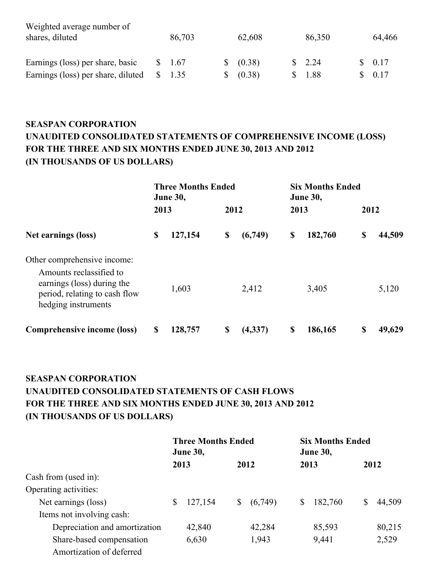| Weighted average number of         |        |           |                   |        |
|------------------------------------|--------|-----------|-------------------|--------|
| shares, diluted                    | 86,703 | 62,608    | 86,350            | 64,466 |
|                                    |        |           |                   |        |
| Earnings (loss) per share, basic   | 1.67   | \$ (0.38) | $\frac{\$}{2.24}$ | \$0.17 |
| Earnings (loss) per share, diluted | 1.35   | (0.38)    | \$ 1.88           | \$0.17 |

## **SEASPAN CORPORATION UNAUDITED CONSOLIDATED STATEMENTS OF COMPREHENSIVE INCOME (LOSS) FOR THE THREE AND SIX MONTHS ENDED JUNE 30, 2013 AND 2012 (IN THOUSANDS OF US DOLLARS)**

|                                                                                                                                              | 2013 | <b>Three Months Ended</b><br><b>June 30,</b> | 2012 |         | 2013 | <b>Six Months Ended</b><br><b>June 30,</b> | 2012 |        |
|----------------------------------------------------------------------------------------------------------------------------------------------|------|----------------------------------------------|------|---------|------|--------------------------------------------|------|--------|
| Net earnings (loss)                                                                                                                          | \$   | 127,154                                      | \$   | (6,749) | \$   | 182,760                                    | \$   | 44,509 |
| Other comprehensive income:<br>Amounts reclassified to<br>earnings (loss) during the<br>period, relating to cash flow<br>hedging instruments |      | 1,603                                        |      | 2,412   |      | 3,405                                      |      | 5,120  |
| Comprehensive income (loss)                                                                                                                  | \$   | 128,757                                      | \$   | (4,337) | \$   | 186,165                                    | \$   | 49,629 |

## **SEASPAN CORPORATION UNAUDITED CONSOLIDATED STATEMENTS OF CASH FLOWS FOR THE THREE AND SIX MONTHS ENDED JUNE 30, 2013 AND 2012 (IN THOUSANDS OF US DOLLARS)**

|                               | <b>Three Months Ended</b><br><b>June 30,</b> |         |    | <b>Six Months Ended</b><br><b>June 30,</b> |    |         |  |        |
|-------------------------------|----------------------------------------------|---------|----|--------------------------------------------|----|---------|--|--------|
|                               |                                              | 2013    |    | 2012                                       |    | 2013    |  | 2012   |
| Cash from (used in):          |                                              |         |    |                                            |    |         |  |        |
| Operating activities:         |                                              |         |    |                                            |    |         |  |        |
| Net earnings (loss)           | S                                            | 127,154 | \$ | (6,749)                                    | \$ | 182,760 |  | 44,509 |
| Items not involving cash:     |                                              |         |    |                                            |    |         |  |        |
| Depreciation and amortization |                                              | 42,840  |    | 42,284                                     |    | 85,593  |  | 80,215 |
| Share-based compensation      |                                              | 6,630   |    | 1,943                                      |    | 9,441   |  | 2,529  |
| Amortization of deferred      |                                              |         |    |                                            |    |         |  |        |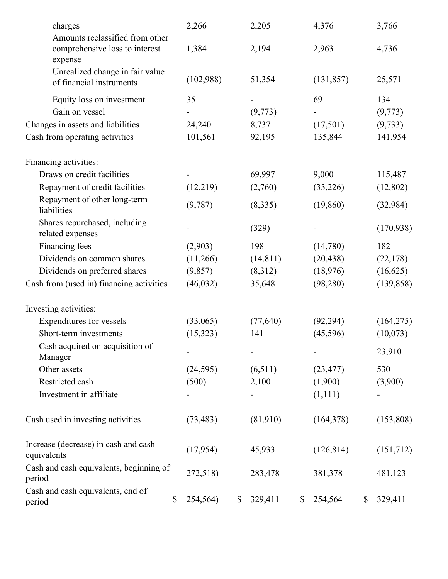| charges                                                                      | 2,266          | 2,205         | 4,376         | 3,766         |
|------------------------------------------------------------------------------|----------------|---------------|---------------|---------------|
| Amounts reclassified from other<br>comprehensive loss to interest<br>expense | 1,384          | 2,194         | 2,963         | 4,736         |
| Unrealized change in fair value<br>of financial instruments                  | (102,988)      | 51,354        | (131, 857)    | 25,571        |
| Equity loss on investment                                                    | 35             |               | 69            | 134           |
| Gain on vessel                                                               |                | (9,773)       |               | (9,773)       |
| Changes in assets and liabilities                                            | 24,240         | 8,737         | (17,501)      | (9, 733)      |
| Cash from operating activities                                               | 101,561        | 92,195        | 135,844       | 141,954       |
| Financing activities:                                                        |                |               |               |               |
| Draws on credit facilities                                                   |                | 69,997        | 9,000         | 115,487       |
| Repayment of credit facilities                                               | (12,219)       | (2,760)       | (33,226)      | (12,802)      |
| Repayment of other long-term<br>liabilities                                  | (9,787)        | (8,335)       | (19, 860)     | (32,984)      |
| Shares repurchased, including<br>related expenses                            |                | (329)         |               | (170, 938)    |
| Financing fees                                                               | (2,903)        | 198           | (14,780)      | 182           |
| Dividends on common shares                                                   | (11,266)       | (14, 811)     | (20, 438)     | (22, 178)     |
| Dividends on preferred shares                                                | (9,857)        | (8,312)       | (18,976)      | (16,625)      |
| Cash from (used in) financing activities                                     | (46, 032)      | 35,648        | (98, 280)     | (139, 858)    |
| Investing activities:                                                        |                |               |               |               |
| Expenditures for vessels                                                     | (33,065)       | (77, 640)     | (92, 294)     | (164, 275)    |
| Short-term investments                                                       | (15, 323)      | 141           | (45, 596)     | (10,073)      |
| Cash acquired on acquisition of<br>Manager                                   |                |               |               | 23,910        |
| Other assets                                                                 | (24, 595)      | (6,511)       | (23, 477)     | 530           |
| Restricted cash                                                              | (500)          | 2,100         | (1,900)       | (3,900)       |
| Investment in affiliate                                                      |                |               | (1,111)       |               |
| Cash used in investing activities                                            | (73, 483)      | (81,910)      | (164, 378)    | (153,808)     |
| Increase (decrease) in cash and cash<br>equivalents                          | (17, 954)      | 45,933        | (126, 814)    | (151,712)     |
| Cash and cash equivalents, beginning of<br>period                            | 272,518)       | 283,478       | 381,378       | 481,123       |
| Cash and cash equivalents, end of<br>period                                  | \$<br>254,564) | \$<br>329,411 | \$<br>254,564 | \$<br>329,411 |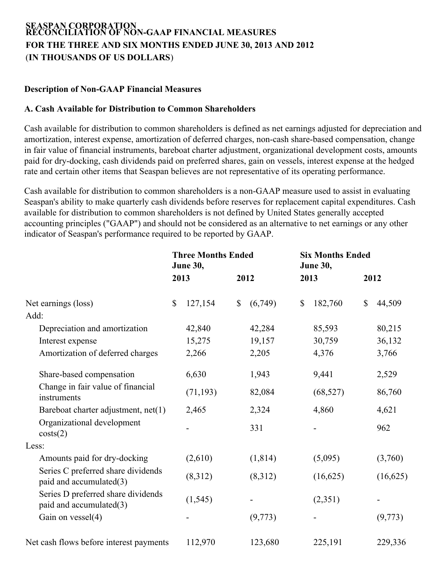#### **SEASPAN CORPORATION RECONCILIATION OF NON-GAAP FINANCIAL MEASURES FOR THE THREE AND SIX MONTHS ENDED JUNE 30, 2013 AND 2012** (**IN THOUSANDS OF US DOLLARS**)

#### **Description of Non-GAAP Financial Measures**

#### **A. Cash Available for Distribution to Common Shareholders**

Cash available for distribution to common shareholders is defined as net earnings adjusted for depreciation and amortization, interest expense, amortization of deferred charges, non-cash share-based compensation, change in fair value of financial instruments, bareboat charter adjustment, organizational development costs, amounts paid for dry-docking, cash dividends paid on preferred shares, gain on vessels, interest expense at the hedged rate and certain other items that Seaspan believes are not representative of its operating performance.

Cash available for distribution to common shareholders is a non-GAAP measure used to assist in evaluating Seaspan's ability to make quarterly cash dividends before reserves for replacement capital expenditures. Cash available for distribution to common shareholders is not defined by United States generally accepted accounting principles ("GAAP") and should not be considered as an alternative to net earnings or any other indicator of Seaspan's performance required to be reported by GAAP.

|                                                               | <b>Three Months Ended</b><br><b>June 30,</b> |           |    | <b>Six Months Ended</b><br><b>June 30,</b> |              |           |              |          |
|---------------------------------------------------------------|----------------------------------------------|-----------|----|--------------------------------------------|--------------|-----------|--------------|----------|
|                                                               |                                              | 2013      |    | 2012                                       |              | 2013      |              | 2012     |
| Net earnings (loss)                                           | \$                                           | 127,154   | \$ | (6,749)                                    | $\mathbb{S}$ | 182,760   | $\mathbb{S}$ | 44,509   |
| Add:                                                          |                                              |           |    |                                            |              |           |              |          |
| Depreciation and amortization                                 |                                              | 42,840    |    | 42,284                                     |              | 85,593    |              | 80,215   |
| Interest expense                                              |                                              | 15,275    |    | 19,157                                     |              | 30,759    |              | 36,132   |
| Amortization of deferred charges                              |                                              | 2,266     |    | 2,205                                      |              | 4,376     |              | 3,766    |
| Share-based compensation                                      |                                              | 6,630     |    | 1,943                                      |              | 9,441     |              | 2,529    |
| Change in fair value of financial<br>instruments              |                                              | (71, 193) |    | 82,084                                     |              | (68, 527) |              | 86,760   |
| Bareboat charter adjustment, net(1)                           |                                              | 2,465     |    | 2,324                                      |              | 4,860     |              | 4,621    |
| Organizational development<br>costs(2)                        |                                              |           |    | 331                                        |              |           |              | 962      |
| Less:                                                         |                                              |           |    |                                            |              |           |              |          |
| Amounts paid for dry-docking                                  |                                              | (2,610)   |    | (1, 814)                                   |              | (5,095)   |              | (3,760)  |
| Series C preferred share dividends<br>paid and accumulated(3) |                                              | (8,312)   |    | (8,312)                                    |              | (16,625)  |              | (16,625) |
| Series D preferred share dividends<br>paid and accumulated(3) |                                              | (1, 545)  |    |                                            |              | (2,351)   |              |          |
| Gain on vessel(4)                                             |                                              |           |    | (9,773)                                    |              |           |              | (9,773)  |
| Net cash flows before interest payments                       |                                              | 112,970   |    | 123,680                                    |              | 225,191   |              | 229,336  |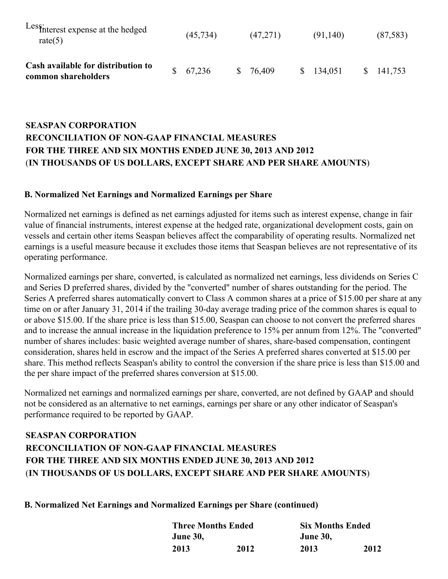| Less: Interest expense at the hedged<br>rate $(5)$        | (45, 734) | (47,271) | (91,140)  | (87, 583)            |
|-----------------------------------------------------------|-----------|----------|-----------|----------------------|
| Cash available for distribution to<br>common shareholders | \$67,236  | \$76,409 | \$134,051 | $\frac{\$}{141,753}$ |

## **SEASPAN CORPORATION RECONCILIATION OF NON-GAAP FINANCIAL MEASURES FOR THE THREE AND SIX MONTHS ENDED JUNE 30, 2013 AND 2012** (**IN THOUSANDS OF US DOLLARS, EXCEPT SHARE AND PER SHARE AMOUNTS**)

#### **B. Normalized Net Earnings and Normalized Earnings per Share**

Normalized net earnings is defined as net earnings adjusted for items such as interest expense, change in fair value of financial instruments, interest expense at the hedged rate, organizational development costs, gain on vessels and certain other items Seaspan believes affect the comparability of operating results. Normalized net earnings is a useful measure because it excludes those items that Seaspan believes are not representative of its operating performance.

Normalized earnings per share, converted, is calculated as normalized net earnings, less dividends on Series C and Series D preferred shares, divided by the "converted" number of shares outstanding for the period. The Series A preferred shares automatically convert to Class A common shares at a price of \$15.00 per share at any time on or after January 31, 2014 if the trailing 30-day average trading price of the common shares is equal to or above \$15.00. If the share price is less than \$15.00, Seaspan can choose to not convert the preferred shares and to increase the annual increase in the liquidation preference to 15% per annum from 12%. The "converted" number of shares includes: basic weighted average number of shares, share-based compensation, contingent consideration, shares held in escrow and the impact of the Series A preferred shares converted at \$15.00 per share. This method reflects Seaspan's ability to control the conversion if the share price is less than \$15.00 and the per share impact of the preferred shares conversion at \$15.00.

Normalized net earnings and normalized earnings per share, converted, are not defined by GAAP and should not be considered as an alternative to net earnings, earnings per share or any other indicator of Seaspan's performance required to be reported by GAAP.

## **SEASPAN CORPORATION RECONCILIATION OF NON-GAAP FINANCIAL MEASURES FOR THE THREE AND SIX MONTHS ENDED JUNE 30, 2013 AND 2012** (**IN THOUSANDS OF US DOLLARS, EXCEPT SHARE AND PER SHARE AMOUNTS**)

**B. Normalized Net Earnings and Normalized Earnings per Share (continued)**

| <b>Three Months Ended</b> |      |                 | <b>Six Months Ended</b> |  |  |  |  |  |  |
|---------------------------|------|-----------------|-------------------------|--|--|--|--|--|--|
| <b>June 30,</b>           |      | <b>June 30,</b> |                         |  |  |  |  |  |  |
| 2013                      | 2012 | 2013            | 2012                    |  |  |  |  |  |  |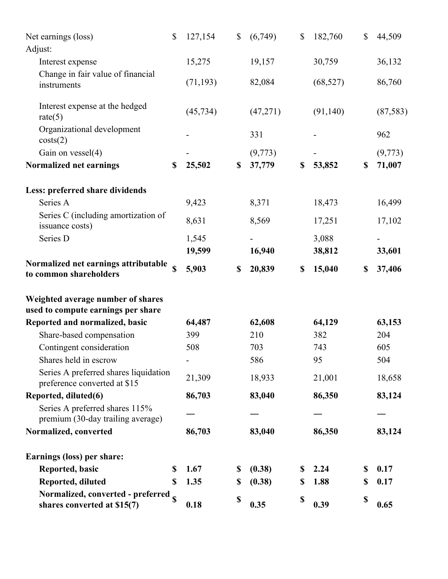| Net earnings (loss)                                                     | \$ | 127,154         | \$<br>(6,749) | \$<br>182,760   | \$          | 44,509   |
|-------------------------------------------------------------------------|----|-----------------|---------------|-----------------|-------------|----------|
| Adjust:                                                                 |    |                 |               |                 |             |          |
| Interest expense                                                        |    | 15,275          | 19,157        | 30,759          |             | 36,132   |
| Change in fair value of financial<br>instruments                        |    | (71, 193)       | 82,084        | (68, 527)       |             | 86,760   |
| Interest expense at the hedged<br>rate $(5)$                            |    | (45, 734)       | (47, 271)     | (91, 140)       |             | (87,583) |
| Organizational development<br>costs(2)                                  |    |                 | 331           |                 |             | 962      |
| Gain on vessel(4)                                                       |    |                 | (9,773)       |                 |             | (9,773)  |
| Normalized net earnings                                                 | \$ | 25,502          | \$<br>37,779  | \$<br>53,852    | \$          | 71,007   |
| Less: preferred share dividends                                         |    |                 |               |                 |             |          |
| Series A                                                                |    | 9,423           | 8,371         | 18,473          |             | 16,499   |
| Series C (including amortization of<br>issuance costs)                  |    | 8,631           | 8,569         | 17,251          |             | 17,102   |
| Series D                                                                |    | 1,545<br>19,599 | 16,940        | 3,088<br>38,812 |             | 33,601   |
| Normalized net earnings attributable<br>to common shareholders          |    | 5,903           | \$<br>20,839  | \$<br>15,040    | \$          | 37,406   |
| Weighted average number of shares<br>used to compute earnings per share |    |                 |               |                 |             |          |
| Reported and normalized, basic                                          |    | 64,487          | 62,608        | 64,129          |             | 63,153   |
| Share-based compensation                                                |    | 399             | 210           | 382             |             | 204      |
| Contingent consideration                                                |    | 508             | 703           | 743             |             | 605      |
| Shares held in escrow                                                   |    |                 | 586           | 95              |             | 504      |
| Series A preferred shares liquidation<br>preference converted at \$15   |    | 21,309          | 18,933        | 21,001          |             | 18,658   |
| Reported, diluted(6)                                                    |    | 86,703          | 83,040        | 86,350          |             | 83,124   |
| Series A preferred shares 115%<br>premium (30-day trailing average)     |    |                 |               |                 |             |          |
| Normalized, converted                                                   |    | 86,703          | 83,040        | 86,350          |             | 83,124   |
| Earnings (loss) per share:                                              |    |                 |               |                 |             |          |
| Reported, basic                                                         | \$ | 1.67            | \$<br>(0.38)  | \$<br>2.24      | \$          | 0.17     |
| Reported, diluted                                                       | S  | 1.35            | \$<br>(0.38)  | \$<br>1.88      | \$          | 0.17     |
| Normalized, converted - preferred s<br>shares converted at \$15(7)      |    | 0.18            | \$<br>0.35    | \$<br>0.39      | $\mathbb S$ | 0.65     |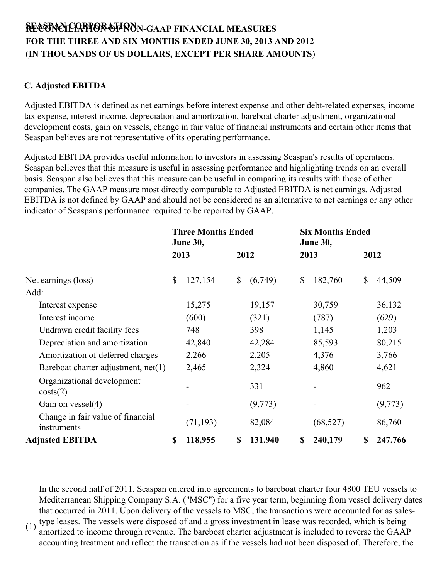# **SREEACSOPNACNILCIOART PIOONRAOTF IONONN-GAAP FINANCIAL MEASURES FOR THE THREE AND SIX MONTHS ENDED JUNE 30, 2013 AND 2012** (**IN THOUSANDS OF US DOLLARS, EXCEPT PER SHARE AMOUNTS**)

## **C. Adjusted EBITDA**

Adjusted EBITDA is defined as net earnings before interest expense and other debt-related expenses, income tax expense, interest income, depreciation and amortization, bareboat charter adjustment, organizational development costs, gain on vessels, change in fair value of financial instruments and certain other items that Seaspan believes are not representative of its operating performance.

Adjusted EBITDA provides useful information to investors in assessing Seaspan's results of operations. Seaspan believes that this measure is useful in assessing performance and highlighting trends on an overall basis. Seaspan also believes that this measure can be useful in comparing its results with those of other companies. The GAAP measure most directly comparable to Adjusted EBITDA is net earnings. Adjusted EBITDA is not defined by GAAP and should not be considered as an alternative to net earnings or any other indicator of Seaspan's performance required to be reported by GAAP.

|                                                  | <b>Three Months Ended</b><br><b>June 30,</b> |           |    |         |    | <b>Six Months Ended</b><br><b>June 30,</b> |    |         |  |  |
|--------------------------------------------------|----------------------------------------------|-----------|----|---------|----|--------------------------------------------|----|---------|--|--|
|                                                  |                                              | 2013      |    | 2012    |    | 2013                                       |    | 2012    |  |  |
| Net earnings (loss)                              | \$                                           | 127,154   | \$ | (6,749) | \$ | 182,760                                    | \$ | 44,509  |  |  |
| Add:                                             |                                              |           |    |         |    |                                            |    |         |  |  |
| Interest expense                                 |                                              | 15,275    |    | 19,157  |    | 30,759                                     |    | 36,132  |  |  |
| Interest income                                  |                                              | (600)     |    | (321)   |    | (787)                                      |    | (629)   |  |  |
| Undrawn credit facility fees                     |                                              | 748       |    | 398     |    | 1,145                                      |    | 1,203   |  |  |
| Depreciation and amortization                    |                                              | 42,840    |    | 42,284  |    | 85,593                                     |    | 80,215  |  |  |
| Amortization of deferred charges                 |                                              | 2,266     |    | 2,205   |    | 4,376                                      |    | 3,766   |  |  |
| Bareboat charter adjustment, net(1)              |                                              | 2,465     |    | 2,324   |    | 4,860                                      |    | 4,621   |  |  |
| Organizational development<br>costs(2)           |                                              |           |    | 331     |    |                                            |    | 962     |  |  |
| Gain on $vessel(4)$                              |                                              |           |    | (9,773) |    |                                            |    | (9,773) |  |  |
| Change in fair value of financial<br>instruments |                                              | (71, 193) |    | 82,084  |    | (68, 527)                                  |    | 86,760  |  |  |
| <b>Adjusted EBITDA</b>                           | \$                                           | 118,955   | \$ | 131,940 | \$ | 240,179                                    | \$ | 247,766 |  |  |

(1) In the second half of 2011, Seaspan entered into agreements to bareboat charter four 4800 TEU vessels to Mediterranean Shipping Company S.A. ("MSC") for a five year term, beginning from vessel delivery dates that occurred in 2011. Upon delivery of the vessels to MSC, the transactions were accounted for as salestype leases. The vessels were disposed of and a gross investment in lease was recorded, which is being amortized to income through revenue. The bareboat charter adjustment is included to reverse the GAAP accounting treatment and reflect the transaction as if the vessels had not been disposed of. Therefore, the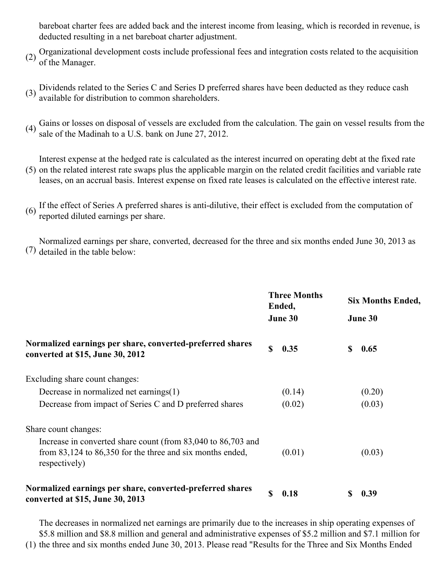bareboat charter fees are added back and the interest income from leasing, which is recorded in revenue, is deducted resulting in a net bareboat charter adjustment.

- (2) Organizational development costs include professional fees and integration costs related to the acquisition (2) of the Managar of the Manager.
- $(3)$  Dividends related to the Series C and Series D preferred shares have been deducted as they reduce cash  $(3)$  socialists for distribution to converge should be available for distribution to common shareholders.
- (4) Gains or losses on disposal of vessels are excluded from the calculation. The gain on vessel results from the  $(4)$  calculation. sale of the Madinah to a U.S. bank on June 27, 2012.

(5) on the related interest rate swaps plus the applicable margin on the related credit facilities and variable rate Interest expense at the hedged rate is calculated as the interest incurred on operating debt at the fixed rate leases, on an accrual basis. Interest expense on fixed rate leases is calculated on the effective interest rate.

(6) If the effect of Series A preferred shares is anti-dilutive, their effect is excluded from the computation of reported diluted earnings per share.

(7) detailed in the table below: Normalized earnings per share, converted, decreased for the three and six months ended June 30, 2013 as

|                                                                                                                                                |    | <b>Three Months</b><br>Ended,<br>June 30 |    | <b>Six Months Ended,</b><br>June 30 |
|------------------------------------------------------------------------------------------------------------------------------------------------|----|------------------------------------------|----|-------------------------------------|
| Normalized earnings per share, converted-preferred shares<br>converted at \$15, June 30, 2012                                                  | \$ | 0.35                                     | \$ | 0.65                                |
| Excluding share count changes:                                                                                                                 |    |                                          |    |                                     |
| Decrease in normalized net earnings $(1)$                                                                                                      |    | (0.14)                                   |    | (0.20)                              |
| Decrease from impact of Series C and D preferred shares                                                                                        |    | (0.02)                                   |    | (0.03)                              |
| Share count changes:                                                                                                                           |    |                                          |    |                                     |
| Increase in converted share count (from 83,040 to 86,703 and<br>from $83,124$ to $86,350$ for the three and six months ended,<br>respectively) |    | (0.01)                                   |    | (0.03)                              |
| Normalized earnings per share, converted-preferred shares<br>converted at \$15, June 30, 2013                                                  | \$ | 0.18                                     | S  | 0.39                                |

(1) the three and six months ended June 30, 2013. Please read "Results for the Three and Six Months EndedThe decreases in normalized net earnings are primarily due to the increases in ship operating expenses of \$5.8 million and \$8.8 million and general and administrative expenses of \$5.2 million and \$7.1 million for